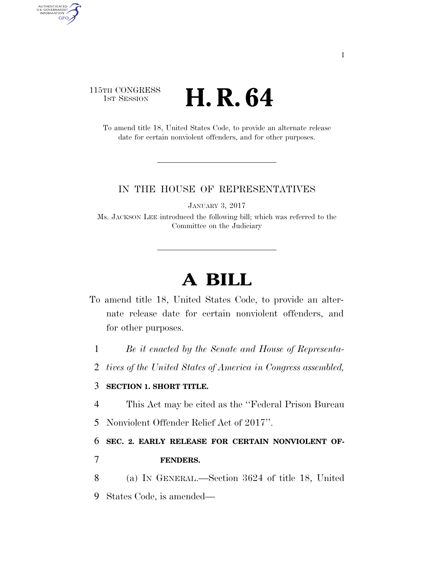## 115TH CONGRESS 1st Session **H. R. 64**

AUTHENTICATED<br>U.S. GOVERNMENT<br>INFORMATION

**GPO** 

To amend title 18, United States Code, to provide an alternate release date for certain nonviolent offenders, and for other purposes.

## IN THE HOUSE OF REPRESENTATIVES

JANUARY 3, 2017

Ms. JACKSON LEE introduced the following bill; which was referred to the Committee on the Judiciary

## **A BILL**

- To amend title 18, United States Code, to provide an alternate release date for certain nonviolent offenders, and for other purposes.
	- 1 *Be it enacted by the Senate and House of Representa-*
	- 2 *tives of the United States of America in Congress assembled,*

## 3 **SECTION 1. SHORT TITLE.**

- 4 This Act may be cited as the ''Federal Prison Bureau
- 5 Nonviolent Offender Relief Act of 2017''.

6 **SEC. 2. EARLY RELEASE FOR CERTAIN NONVIOLENT OF-**

- 7 **FENDERS.**
- 8 (a) IN GENERAL.—Section 3624 of title 18, United 9 States Code, is amended—